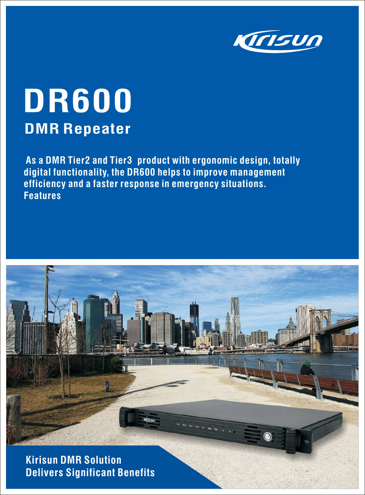

# **DR600 DMR Repeater**

**As a DMR Tier2 and Tier3 product with ergonomic design, totally digital functionality, the DR600 helps to improve management efficiency and a faster response in emergency situations. Features**



**Kirisun DMR Solution Delivers Significant Benefits**